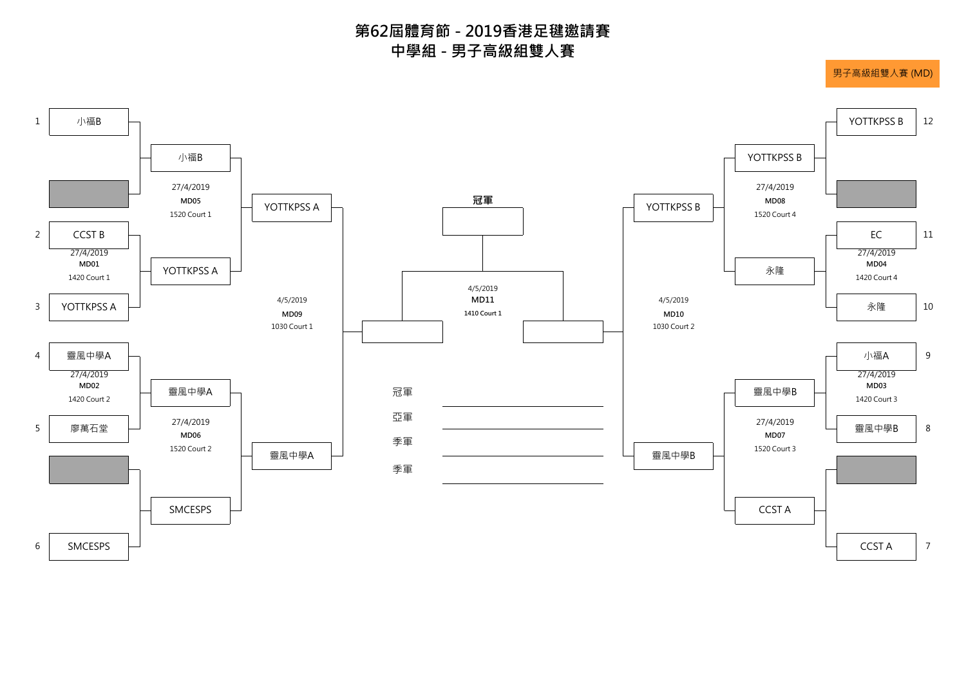

**中學組 - 男子高級組雙人賽 第62屆體育節 - 2019香港足毽邀請賽**

男子高級組雙人賽 (MD)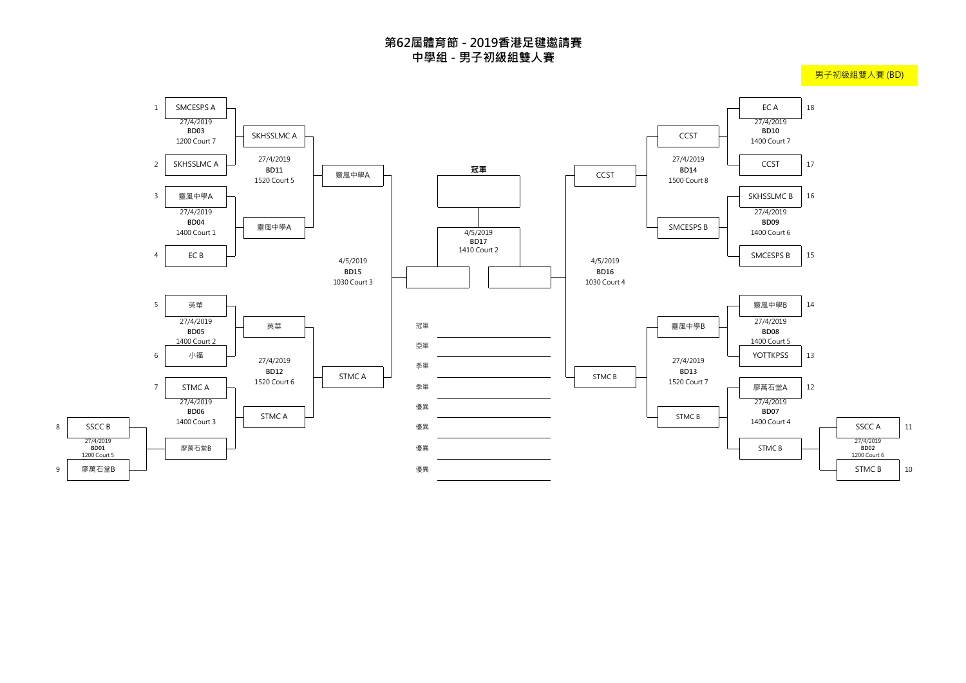

8

**BD01**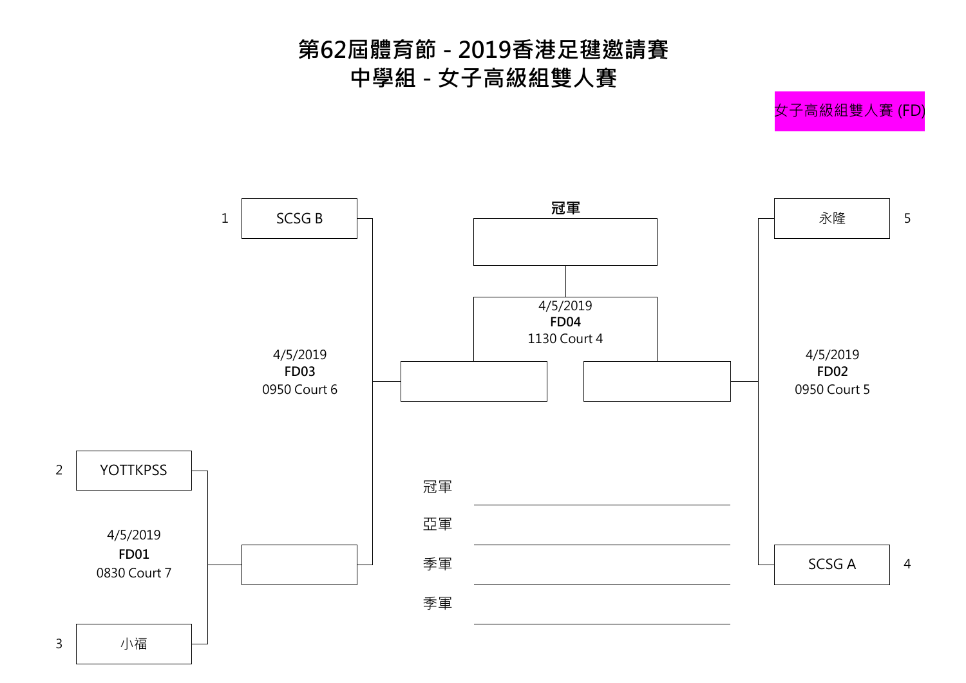



## **第62屆體育節 - 2019香港足毽邀請賽 中學組 - 女子高級組雙人賽**

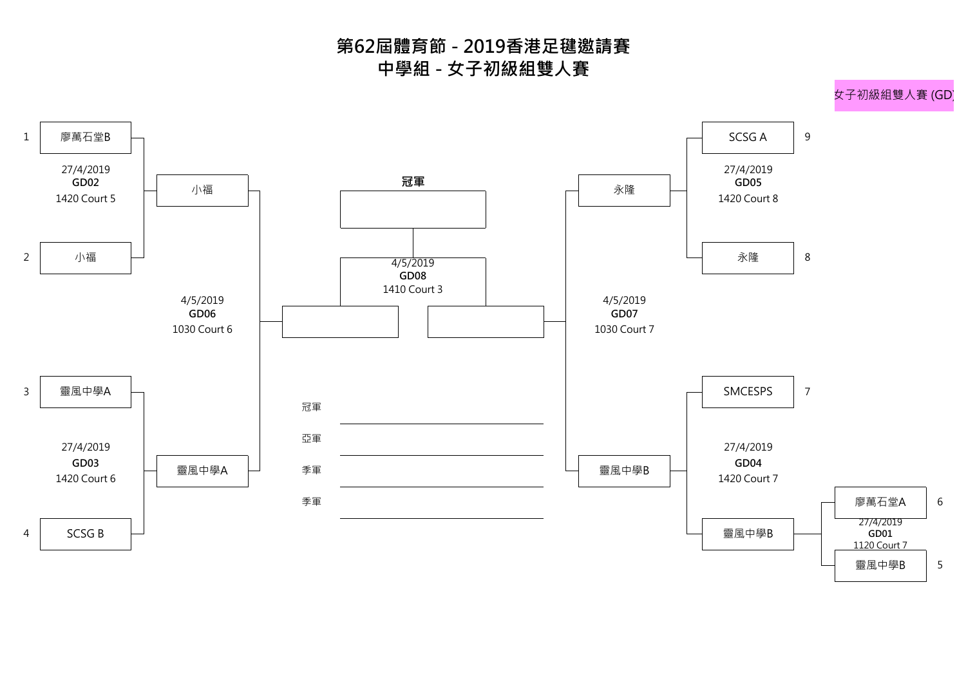

## **第62屆體育節 - 2019香港足毽邀請賽 中學組 - 女子初級組雙人賽**